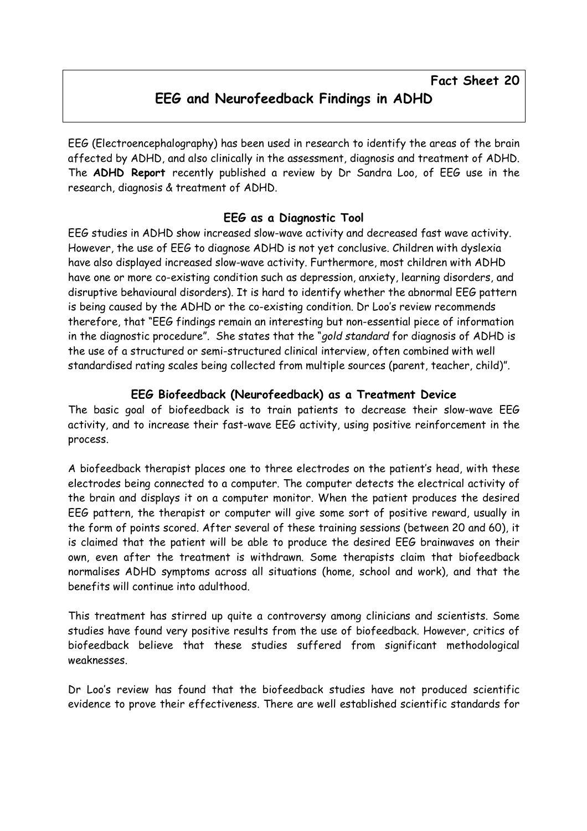EEG (Electroencephalography) has been used in research to identify the areas of the brain affected by ADHD, and also clinically in the assessment, diagnosis and treatment of ADHD. The ADHD Report recently published a review by Dr Sandra Loo, of EEG use in the research, diagnosis & treatment of ADHD.

## EEG as a Diagnostic Tool

EEG studies in ADHD show increased slow-wave activity and decreased fast wave activity. However, the use of EEG to diagnose ADHD is not yet conclusive. Children with dyslexia have also displayed increased slow-wave activity. Furthermore, most children with ADHD have one or more co-existing condition such as depression, anxiety, learning disorders, and disruptive behavioural disorders). It is hard to identify whether the abnormal EEG pattern is being caused by the ADHD or the co-existing condition. Dr Loo's review recommends therefore, that "EEG findings remain an interesting but non-essential piece of information in the diagnostic procedure". She states that the "gold standard for diagnosis of ADHD is the use of a structured or semi-structured clinical interview, often combined with well standardised rating scales being collected from multiple sources (parent, teacher, child)".

## EEG Biofeedback (Neurofeedback) as a Treatment Device

The basic goal of biofeedback is to train patients to decrease their slow-wave EEG activity, and to increase their fast-wave EEG activity, using positive reinforcement in the process.

A biofeedback therapist places one to three electrodes on the patient's head, with these electrodes being connected to a computer. The computer detects the electrical activity of the brain and displays it on a computer monitor. When the patient produces the desired EEG pattern, the therapist or computer will give some sort of positive reward, usually in the form of points scored. After several of these training sessions (between 20 and 60), it is claimed that the patient will be able to produce the desired EEG brainwaves on their own, even after the treatment is withdrawn. Some therapists claim that biofeedback normalises ADHD symptoms across all situations (home, school and work), and that the benefits will continue into adulthood.

This treatment has stirred up quite a controversy among clinicians and scientists. Some studies have found very positive results from the use of biofeedback. However, critics of biofeedback believe that these studies suffered from significant methodological weaknesses.

Dr Loo's review has found that the biofeedback studies have not produced scientific evidence to prove their effectiveness. There are well established scientific standards for